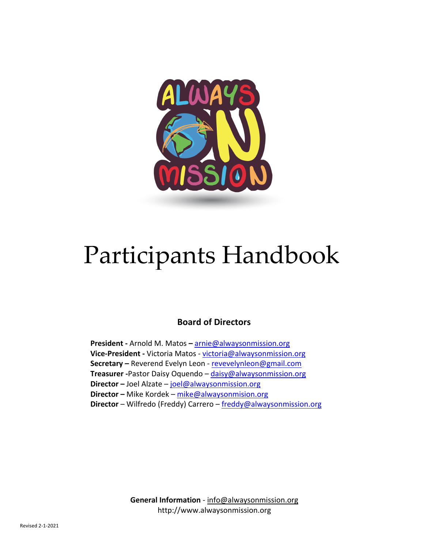

# Participants Handbook

## **Board of Directors**

**President -** Arnold M. Matos **–** arnie@alwaysonmission.org **Vice-President -** Victoria Matos - victoria@alwaysonmission.org **Secretary –** Reverend Evelyn Leon - revevelynleon@gmail.com **Treasurer -**Pastor Daisy Oquendo – daisy@alwaysonmission.org **Director –** Joel Alzate – joel@alwaysonmission.org **Director –** Mike Kordek – mike@alwaysonmision.org **Director** – Wilfredo (Freddy) Carrero – freddy@alwaysonmission.org

> **General Information** - info@alwaysonmission.org http://www.alwaysonmission.org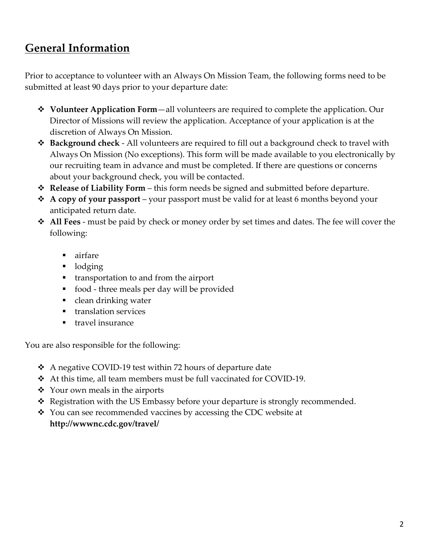# **General Information**

Prior to acceptance to volunteer with an Always On Mission Team, the following forms need to be submitted at least 90 days prior to your departure date:

- **◆ Volunteer Application Form**—all volunteers are required to complete the application. Our Director of Missions will review the application. Acceptance of your application is at the discretion of Always On Mission.
- **\*** Background check All volunteers are required to fill out a background check to travel with Always On Mission (No exceptions). This form will be made available to you electronically by our recruiting team in advance and must be completed. If there are questions or concerns about your background check, you will be contacted.
- **◆ Release of Liability Form** this form needs be signed and submitted before departure.
- v **A copy of your passport** your passport must be valid for at least 6 months beyond your anticipated return date.
- v **All Fees** must be paid by check or money order by set times and dates. The fee will cover the following:
	- airfare
	- lodging
	- transportation to and from the airport
	- food three meals per day will be provided
	- clean drinking water
	- translation services
	- travel insurance

You are also responsible for the following:

- $\triangle$  A negative COVID-19 test within 72 hours of departure date
- $\triangleleft$  At this time, all team members must be full vaccinated for COVID-19.
- $\triangleleft$  Your own meals in the airports
- $\triangleleft$  Registration with the US Embassy before your departure is strongly recommended.
- $\cdot$  You can see recommended vaccines by accessing the CDC website at **http://wwwnc.cdc.gov/travel/**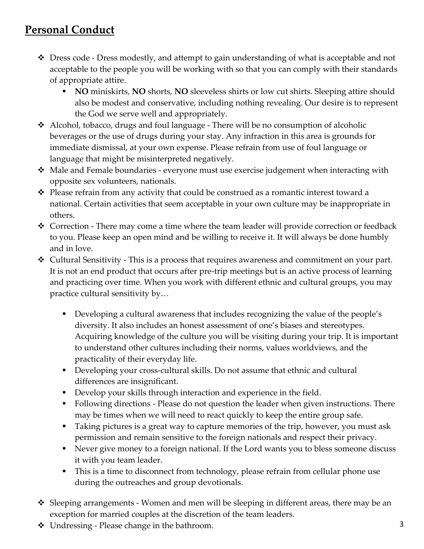# **Personal Conduct**

- $\div$  Dress code Dress modestly, and attempt to gain understanding of what is acceptable and not acceptable to the people you will be working with so that you can comply with their standards of appropriate attire.
	- § **NO** miniskirts, **NO** shorts, **NO** sleeveless shirts or low cut shirts. Sleeping attire should also be modest and conservative, including nothing revealing. Our desire is to represent the God we serve well and appropriately.
- $\triangleleft$  Alcohol, tobacco, drugs and foul language There will be no consumption of alcoholic beverages or the use of drugs during your stay. Any infraction in this area is grounds for immediate dismissal, at your own expense. Please refrain from use of foul language or language that might be misinterpreted negatively.
- $\cdot$  Male and Female boundaries everyone must use exercise judgement when interacting with opposite sex volunteers, nationals.
- $\mathbf{\hat{P}}$  Please refrain from any activity that could be construed as a romantic interest toward a national. Certain activities that seem acceptable in your own culture may be inappropriate in others.
- $\cdot$  Correction There may come a time where the team leader will provide correction or feedback to you. Please keep an open mind and be willing to receive it. It will always be done humbly and in love.
- $\triangleleft$  Cultural Sensitivity This is a process that requires awareness and commitment on your part. It is not an end product that occurs after pre-trip meetings but is an active process of learning and practicing over time. When you work with different ethnic and cultural groups, you may practice cultural sensitivity by…
	- Developing a cultural awareness that includes recognizing the value of the people's diversity. It also includes an honest assessment of one's biases and stereotypes. Acquiring knowledge of the culture you will be visiting during your trip. It is important to understand other cultures including their norms, values worldviews, and the practicality of their everyday life.
	- Developing your cross-cultural skills. Do not assume that ethnic and cultural differences are insignificant.
	- Develop your skills through interaction and experience in the field.
	- Following directions Please do not question the leader when given instructions. There may be times when we will need to react quickly to keep the entire group safe.
	- Taking pictures is a great way to capture memories of the trip, however, you must ask permission and remain sensitive to the foreign nationals and respect their privacy.
	- Never give money to a foreign national. If the Lord wants you to bless someone discuss it with you team leader.
	- This is a time to disconnect from technology, please refrain from cellular phone use during the outreaches and group devotionals.
- $\div$  Sleeping arrangements Women and men will be sleeping in different areas, there may be an exception for married couples at the discretion of the team leaders.
- $\cdot \cdot$  Undressing Please change in the bathroom.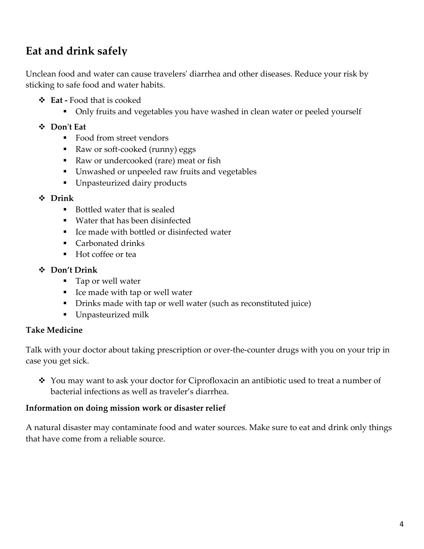# **Eat and drink safely**

Unclean food and water can cause travelers' diarrhea and other diseases. Reduce your risk by sticking to safe food and water habits.

- v **Eat -** Food that is cooked
	- Only fruits and vegetables you have washed in clean water or peeled yourself
- v **Don't Eat**
	- Food from street vendors
	- Raw or soft-cooked (runny) eggs
	- Raw or undercooked (rare) meat or fish
	- Unwashed or unpeeled raw fruits and vegetables
	- § Unpasteurized dairy products
- v **Drink**
	- Bottled water that is sealed
	- Water that has been disinfected
	- Ice made with bottled or disinfected water
	- Carbonated drinks
	- Hot coffee or tea

#### v **Don't Drink**

- Tap or well water
- Ice made with tap or well water
- Drinks made with tap or well water (such as reconstituted juice)
- Unpasteurized milk

#### **Take Medicine**

Talk with your doctor about taking prescription or over-the-counter drugs with you on your trip in case you get sick.

 $\cdot$  You may want to ask your doctor for Ciprofloxacin an antibiotic used to treat a number of bacterial infections as well as traveler's diarrhea.

#### **Information on doing mission work or disaster relief**

A natural disaster may contaminate food and water sources. Make sure to eat and drink only things that have come from a reliable source.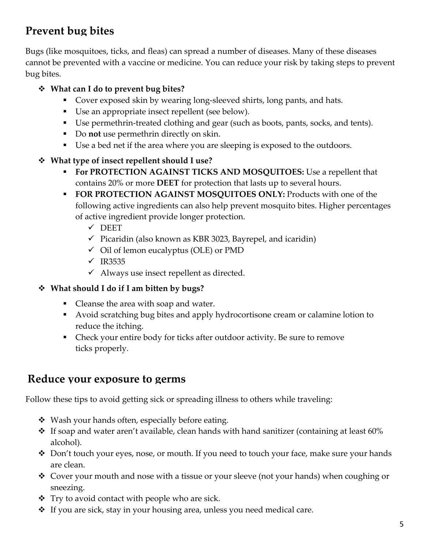# **Prevent bug bites**

Bugs (like mosquitoes, ticks, and fleas) can spread a number of diseases. Many of these diseases cannot be prevented with a vaccine or medicine. You can reduce your risk by taking steps to prevent bug bites.

## v **What can I do to prevent bug bites?**

- Cover exposed skin by wearing long-sleeved shirts, long pants, and hats.
- Use an appropriate insect repellent (see below).
- Use permethrin-treated clothing and gear (such as boots, pants, socks, and tents).
- Do **not** use permethrin directly on skin.
- Use a bed net if the area where you are sleeping is exposed to the outdoors.

## v **What type of insect repellent should I use?**

- § **For PROTECTION AGAINST TICKS AND MOSQUITOES:** Use a repellent that contains 20% or more **DEET** for protection that lasts up to several hours.
- **FOR PROTECTION AGAINST MOSQUITOES ONLY: Products with one of the** following active ingredients can also help prevent mosquito bites. Higher percentages of active ingredient provide longer protection.
	- $\checkmark$  DEET
	- $\checkmark$  Picaridin (also known as KBR 3023, Bayrepel, and icaridin)
	- $\checkmark$  Oil of lemon eucalyptus (OLE) or PMD
	- $\times$  IR3535
	- $\checkmark$  Always use insect repellent as directed.

## v **What should I do if I am bitten by bugs?**

- Cleanse the area with soap and water.
- § Avoid scratching bug bites and apply hydrocortisone cream or calamine lotion to reduce the itching.
- Check your entire body for ticks after outdoor activity. Be sure to remove ticks properly.

## **Reduce your exposure to germs**

Follow these tips to avoid getting sick or spreading illness to others while traveling:

- Wash your hands often, especially before eating.
- $\cdot$  If soap and water aren't available, clean hands with hand sanitizer (containing at least 60% alcohol).
- \* Don't touch your eyes, nose, or mouth. If you need to touch your face, make sure your hands are clean.
- Cover your mouth and nose with a tissue or your sleeve (not your hands) when coughing or sneezing.
- $\cdot \cdot$  Try to avoid contact with people who are sick.
- $\cdot$  If you are sick, stay in your housing area, unless you need medical care.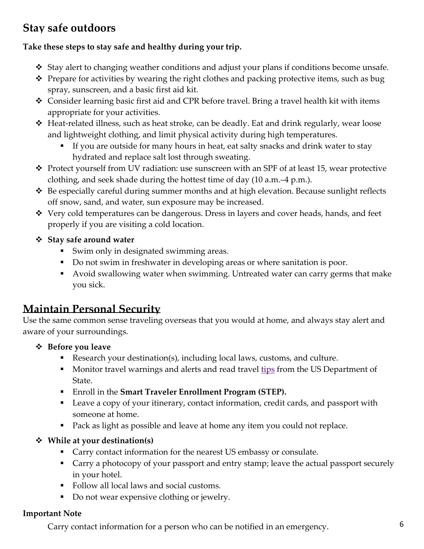# **Stay safe outdoors**

## **Take these steps to stay safe and healthy during your trip.**

- $\div$  Stay alert to changing weather conditions and adjust your plans if conditions become unsafe.
- $\div$  Prepare for activities by wearing the right clothes and packing protective items, such as bug spray, sunscreen, and a basic first aid kit.
- $\triangle$  Consider learning basic first aid and CPR before travel. Bring a travel health kit with items appropriate for your activities.
- ◆ Heat-related illness, such as heat stroke, can be deadly. Eat and drink regularly, wear loose and lightweight clothing, and limit physical activity during high temperatures.
	- If you are outside for many hours in heat, eat salty snacks and drink water to stay hydrated and replace salt lost through sweating.
- \* Protect yourself from UV radiation: use sunscreen with an SPF of at least 15, wear protective clothing, and seek shade during the hottest time of day (10 a.m.–4 p.m.).
- $\triangle$  Be especially careful during summer months and at high elevation. Because sunlight reflects off snow, sand, and water, sun exposure may be increased.
- ◆ Very cold temperatures can be dangerous. Dress in layers and cover heads, hands, and feet properly if you are visiting a cold location.
- v **Stay safe around water**
	- Swim only in designated swimming areas.
	- Do not swim in freshwater in developing areas or where sanitation is poor.
	- Avoid swallowing water when swimming. Untreated water can carry germs that make you sick.

## **Maintain Personal Security**

Use the same common sense traveling overseas that you would at home, and always stay alert and aware of your surroundings.

## v **Before you leave**

- Research your destination(s), including local laws, customs, and culture.
- **Monitor travel warnings and alerts and read travel tips from the US Department of** State.
- § Enroll in the **Smart Traveler Enrollment Program (STEP).**
- Leave a copy of your itinerary, contact information, credit cards, and passport with someone at home.
- Pack as light as possible and leave at home any item you could not replace.

## v **While at your destination(s)**

- Carry contact information for the nearest US embassy or consulate.
- Carry a photocopy of your passport and entry stamp; leave the actual passport securely in your hotel.
- Follow all local laws and social customs.
- Do not wear expensive clothing or jewelry.

## **Important Note**

• Carry contact information for a person who can be notified in an emergency.